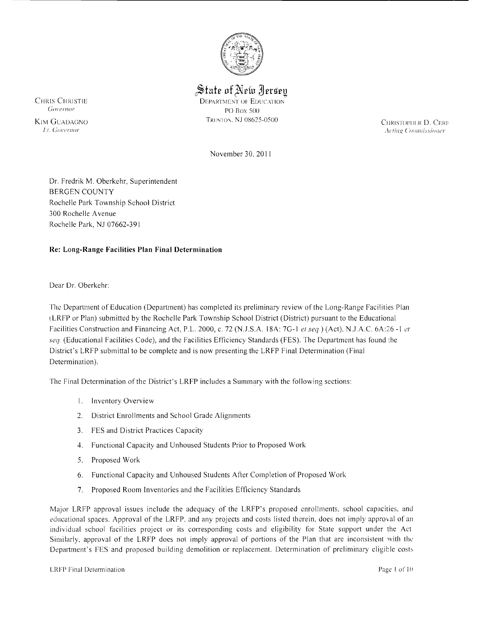

 $\frac{1}{2}$  State of New Jersey

CHRIS CHRISTIE DEPARTMENT OF EDUCATION GOVERNOT CONSUMERTY OF EDUCATION PO Box 500 KIM GUADAGNO TRENTON, NJ 08625-0500 TRINTON, NJ OS625-0500 CHRISTOPIII,R D, CERE

**1.** *Acting Commissioner*  $\overline{A}$  :  $\overline{A}$  :  $\overline{A}$  :  $\overline{A}$  :  $\overline{A}$  :  $\overline{A}$  :  $\overline{A}$  :  $\overline{A}$  :  $\overline{A}$  :  $\overline{A}$  :  $\overline{A}$  :  $\overline{A}$  :  $\overline{A}$  :  $\overline{A}$  :  $\overline{A}$  :  $\overline{A}$  :  $\overline{A}$  :  $\overline{A}$ 

November 30, 2011

Dr. Fredrik M, Oberkehr, Superintendent BERGEN COUNTY Rochelle Park Township School District 300 Rochelle Avenue Rochelle Park, NJ 07662-391

# **Re: Long-Range Facilities Plan Final Determination**

Dear Dr. Oberkehr:

The Department of Education (Department) has completed its preliminary review of the Long-Range Facil ities Plan l LRFP or Plan) submitted by the Rochelle Park Township School District (District) pursuant to the Educational Facilities Construction and Financing Act, P.L. 2000, c. 72 (N.J.S.A. 18A: 7G-1 et seq.) (Act), N.J.A.C. 6A:26 -1 et seq. (Educational Facilities Code), and the Facilities Efficiency Standards (FES). The Department has found the District's LRFP submittal to be complete and is now presenting the LRFP Final Determination (Final Determination).

The Final Determination of the District's LRFP includes a Summary with the following sections:

- I, Inventory Overview
- 2, District Enrollments and School Grade Alignments
- 3, FES and District Practices Capacity
- 4, Functional Capacity and Unhoused Students Prior to Proposed Work
- 5, Proposed Work
- 6, Functional Capacity and Unhoused Students After Completion of Proposed Work
- 7, Proposed Room Inventories and the Facilities Efficiency Standards

Major LRFP approval issues include the adequacy of the LRFP's proposed enrollments, school capacities. and ~ducational spaces, Approval of the LRFP. and any projects and costs listed therein, does not imply approval of an individual school facilities project or its corresponding costs and eligibility for State support under the Act Similarly, approval of the LRFP does not imply approval of portions of the Plan that are inconsistent with the Department's FES and proposed building demolition or replacement. Determination of preliminary eligible costs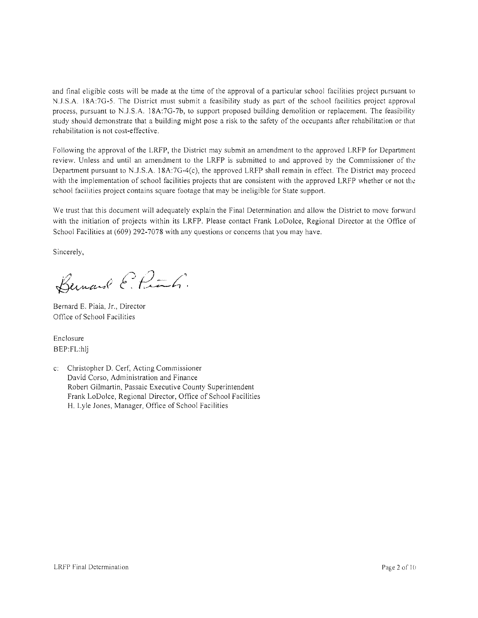and final eligible costs will be made at the time of the approval of a particular school facilities project pursuant to N.J.S.A. 18A:7G-5. The District must submit a feasibility study as part of the school facilities project approval process, pursuant to N.J.S.A. 18A:7G-7b, to support proposed building demolition or replacement. The feasibility study should demonstrate that a building might pose a risk to the safety of the occupants after rehabilitation or that rehabilitation is not cost-effective.

Following the approval of the LRFP, the District may submit an amendment to the approved LRFP for Department review. Unless and until an amendment to the LRFP is submitted to and approved by the Commissioner of the Department pursuant to N.J.S.A. 18A:7G-4(c), the approved LRFP shall remain in effect. The District may proceed with the implementation of school facilities projects that are consistent with the approved LRFP whether or not the school facilities project contains square footage that may be ineligible for State support.

We trust that this document will adequately explain the Final Determination and allow the District to move forward with the initiation of projects within its LRFP. Please contact Frank LoDolce, Regional Director at the Office of School Facilities at (609) 292-7078 with any questions or concerns that you may have.

Sincerely,

Bernard E. Pink.

Bernard E. Piaia, Jr., Director Office of School Facilities

Enclosure BEP:FL:hlj

c: Christopher D. Cerf, Acting Commissioner David Corso, Administration and Finance Robert Gilmartin, Passaic Executive County Superintendent Frank LoDolce, Regional Director, Office of School Facilities H. Lyle Jones, Manager, Office of School Facilities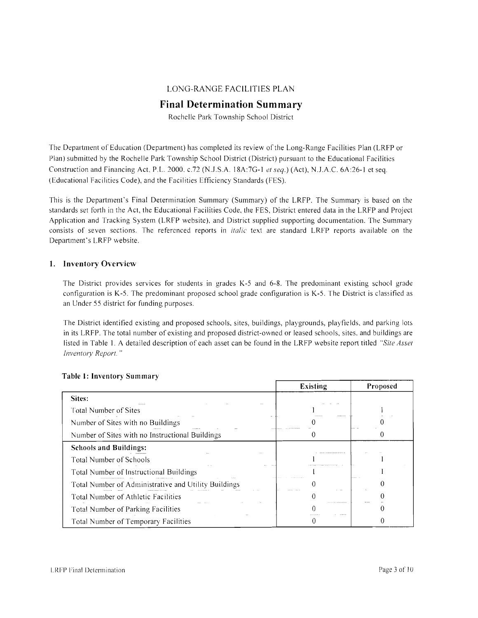## LONG-RANGE FACILITIES PLAN

# **Final Determination Summary**

Rochelle Park Township School District

The Department of Education (Department) has completed its review of the Long-Range Facilities Plan (LRFP or Plan) submitted by the Rochelle Park Township School District (District) pursuant to the Educational Facilities Construction and Financing Act, P.L. 2000. c.72 (N.J.S.A. 18A:7G-I *et seq.)* (Act), N.J.A.C. 6A:26-1 et seq. (Educational Facilities Code), and the Facilities Efficiency Standards (FES).

This is the Department's Final Determination Summary (Summary) of the LRFP. The Summary is based on the standards set forth in the Act, the Educational Facilities Code, the FES, District entered data in the LRFP and Project Application and Tracking System (LRFP website), and District supplied supporting documentation. The Summary consists of seven sections. The referenced reports in *italic* text are standard LRFP reports available on the Department's LRFP website.

### **1. Inventory Overview**

The District provides services for students in grades K-5 and 6-8. The predominant existing school grade configuration is K-5. The predominant proposed school grade configuration is K-5. The District is classified as an Under 55 district for funding purposes.

The District identified existing and proposed schools, sites, buildings, playgrounds, playfields. and parking lots in its LRFP. The total number of existing and proposed district-owned or leased schools, sites. and buildings are listed in Table I. A detailed description of each asset can be found in the LRFP website report titled *"Site Asset Inventory Report. "* 

|                                                      | <b>Existing</b> | Proposed |
|------------------------------------------------------|-----------------|----------|
| Sites:                                               |                 |          |
| Total Number of Sites                                |                 |          |
| Number of Sites with no Buildings                    |                 |          |
| Number of Sites with no Instructional Buildings      |                 |          |
| <b>Schools and Buildings:</b>                        |                 |          |
| Total Number of Schools                              |                 |          |
| Total Number of Instructional Buildings              |                 |          |
| Total Number of Administrative and Utility Buildings | $1 - 111$       |          |
| Total Number of Athletic Facilities                  |                 |          |
| <b>Total Number of Parking Facilities</b>            |                 |          |
| Total Number of Temporary Facilities                 |                 |          |

### **Table]' Inventory Summary**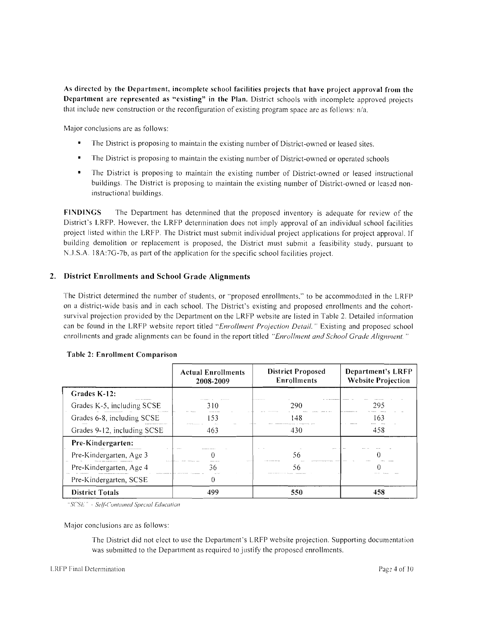As directed by the Department, incomplete school facilities projects that have project approval from the Department are represented as "existing" in the Plan. District schools with incomplete approved projects that include new construction or the reconfiguration of existing program space are as follows: n/a.

Major conclusions are as follows:

- The District is proposing to maintain the existing number of District-owned or leased sites.
- $\blacksquare$ The District is proposing to maintain the existing number of District-owned or operated schools
- The District is proposing to maintain the existing number of District-owned or leased instructional buildings. The District is proposing to maintain the existing number of District-owned or leased noninstructional buildings.

FINDINGS The Department has determined that the proposed inventory is adequate for review of the District's LRFP. However, the LRFP determination does not imply approval of an individual school facilities project listed within the LRFP. The District must submit individual project applications for project approval. If building demolition or replacement is proposed, the District must submit a feasibility study, pursuant to N..J.S.A. 18A:7G-7b, as part of the application for the specific school facilities project.

## 2. District Enrollments and School Grade Alignments

The District determined the number of students, or "proposed enrollments," to be accommodated in the LRFI) on a district-wide basis and in each school. The District's existing and proposed enrollments and the cohortsurvival projection provided by the Department on the LRFP website are listed in Table 2. Detailed information can be found in the LRFP website report titled *"Enrollment Projection Detail.* " Existing and proposed school enrollments and grade alignments can be found in the report titled *"Enrollment and School Grade Alignment"* 

|                              | <b>Actual Enrollments</b><br>2008-2009 | <b>District Proposed</b><br><b>Enrollments</b> | Department's LRFP<br><b>Website Projection</b> |
|------------------------------|----------------------------------------|------------------------------------------------|------------------------------------------------|
| Grades K-12:<br>.            |                                        |                                                |                                                |
| Grades K-5, including SCSE   | 310                                    | 290                                            | 295                                            |
| Grades 6-8, including SCSE   | 153                                    | 148                                            | 163<br>                                        |
| Grades 9-12, including SCSE  | 463                                    | 430                                            | 458                                            |
| Pre-Kindergarten:            |                                        |                                                |                                                |
| Pre-Kindergarten, Age 3      |                                        | 56                                             |                                                |
| Pre-Kindergarten, Age 4<br>. | 36<br>.                                | 56                                             |                                                |
| Pre-Kindergarten, SCSE       | 0                                      |                                                |                                                |
| <b>District Totals</b>       | 499                                    | 550                                            | 458                                            |

#### Table 2: Enrollment Comparison

<sup>"</sup>SCSE" - Self-Contained Special Education

Major conclusions are as follows:

The District did not elect to use the Department's LRFP website projection. Supporting documentation was submitted to the Department as required to justify the proposed enrollments.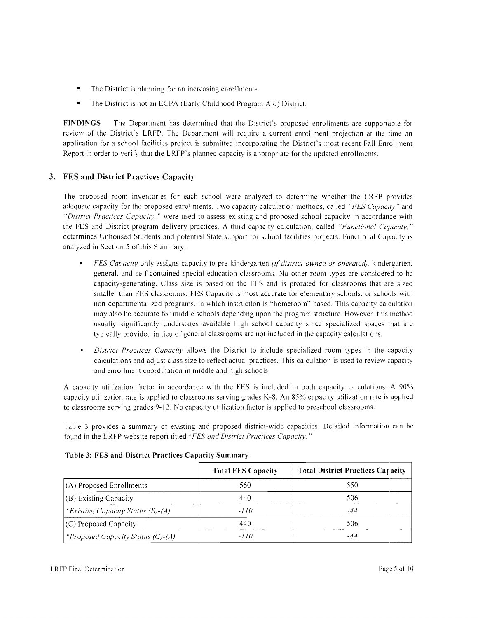- The District is planning for an increasing enrollments.
- The District is not an ECPA (Early Childhood Program Aid) District.

**FINDINGS** The Department has determined that the District's proposed enrollments are supportable for review of the District's LRFP. The Department will require a current enrollment projection at the time an application for a school facilities project is submitted incorporating the District's most recent Fall Enrollment Report in order to verify that the LRFP's planned capacity is appropriate for the updated enrollments.

# **3. FES and District Practices Capacity**

The proposed room inventories for each school were analyzed to determine whether the LRFP provides adequate capacity for the proposed enrollments. Two capacity calculation methods, called *"FES Capaclt)'''* and *"District Practices Capacity,* " were used to assess existing and proposed school capacity in accordance with the FES and District program delivery practices. A third capacity calculation, called *"Functional Capacity,"* determines Unhoused Students and potential State support for school facilities projects. Functional Capacity is analyzed in Section 5 of this Summary.

- *FES Capacity* only assigns capacity to pre-kindergarten *(if district-owned or operated),* kindergarten, general, and self-contained special education classrooms. No other room types are considered to be capacity-generating. Class size is based on the FES and is prorated for classrooms that are sized smaller than FES classrooms. FES Capacity is most accurate for elementary schools, or schools with non-departmentalized programs, in which instruction is "homeroom" based. This capacity calculation may also be accurate for middle schools depending upon the program structure. However, this method usually significantly understates available high school capacity since specialized spaces that are typically provided in lieu of general classrooms are not included in the capacity calculations.
- *District Practices Capacit)'* allows the District to include specialized room types in the capacity calculations and adjust class size to reflect actual practices. This calculation is used to review capacity and enrollment coordination in middle and high schools,

A capacity utilization factor in accordance with the FES is included in both capacity calculations. A 90% capacity utilization rate is applied to classrooms serving grades K-8. An 85% capacity utilization rate is applied to classrooms serving grades 9-12. No capacity utilization factor is applied to preschool classrooms.

Table 3 provides a summary of existing and proposed district-wide capacities. Detailed information can be found in the LRFP website report titled *"FES and District Practices Capacity. "* 

|                                          | <b>Total FES Capacity</b>   | <b>Total District Practices Capacity</b> |
|------------------------------------------|-----------------------------|------------------------------------------|
| (A) Proposed Enrollments                 | 550                         | 550                                      |
| (B) Existing Capacity                    | 440                         | 506                                      |
| *Existing Capacity Status (B)-(A)        | <b>ALC: YESHI</b><br>$-110$ | -44                                      |
| (C) Proposed Capacity                    | 440                         | 506                                      |
| <i>*Proposed Capacity Status (C)-(A)</i> | -110                        | -44                                      |

### **Table 3: FES and District Practices Capacity Summary**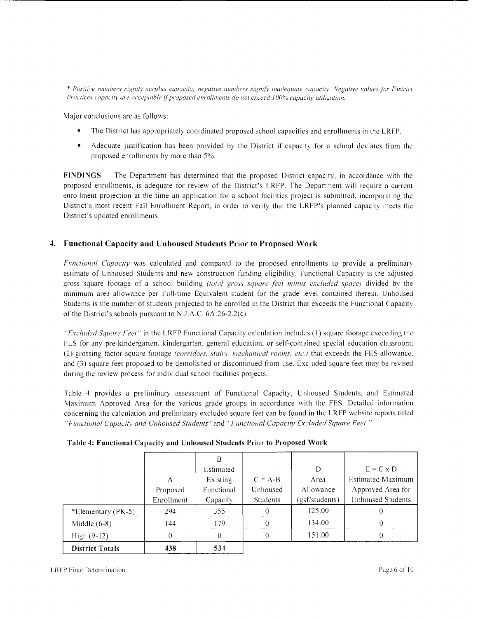\* *Positive numbers signiIi' surplus capacity; negative numbers sigmfy inadequate capacity. Negative values Jor District Practices capacity are acceptable if proposed enrollments do not exceed 100% capacity utilization.* 

Major conclusions are as follows:

- The District has appropriately coordinated proposed school capacities and enrollments in the LRFP.
- Adequate justification has been provided by the District if capacity for a school deviates from the proposed enrollments by more than 5%.

**FINDINGS** The Department has determined that the proposed District capacity, in accordance with the proposed enrollments, is adequate for review of the District's LRFP. The Department will require a current enrollment projection at the time an application for a school facilities project is submitted, incorporating the District's most recent Fall Enrollment Report, in order to verify that the LRFP's planned capacity meets the District's updated enrollments.

# **4. Functional Capacity and Unhoused Students Prior to Proposed Work**

*Funclional Capacily* was calculated and compared to the proposed enrollments to provide a preliminary estimate of Unhoused Students and new construction funding eligibility. Functional Capacity is the adjusted gross square footage of a school building *(Iolal gross square feel minus excluded space)* divided by the minimum area allowance per Full-time Equivalent student for the grade level contained therein. Unhoused Students is the number of students projected to be enrolled in the District that exceeds the Functional Capacity of the District's schools pursuant to N,J.A.C. 6A:26-2.2(c).

*"Excluded Square Feet"* in the LRFP Functional Capacity calculation includes (1) square footage exceeding the FES for any pre-kindergarten, kindergarten, general education, or self-contained special education classroom; (2) grossing factor square footage *(corridors, slairs, mechanical rooms, elc.)* that exceeds the FES allowance, and (3) square feet proposed to be demolished or discontinued from use. Excluded square feet may be revised during the review process for individual school facilities projects.

Table 4 provides a preliminary assessment of Functional Capacity, Unhoused Students, and Estimated Maximum Approved Area for the various grade groups in accordance with the FES. Detailed information concerning the calculation and preliminary excluded square feet can be found in the LRFP website reports titled *"Funclional Capucity and Unhoused Students"* and *"Functional Capacity ExdudeJ Square Feel. "* 

|                        | А<br>Proposed | Β<br>Estimated<br>Existing<br>Functional | $C = A-B$<br>Unhoused                   | D<br>Area<br>Allowance | $E = C \times D$<br><b>Estimated Maximum</b><br>Approved Area for |
|------------------------|---------------|------------------------------------------|-----------------------------------------|------------------------|-------------------------------------------------------------------|
|                        | Enrollment    | Capacity                                 | <b>Students</b>                         | (gsf/students)         | Unhoused Students                                                 |
| *Elementary (PK-5)     | 294           | 355                                      |                                         | 125.00                 |                                                                   |
| Middle $(6-8)$         | 144           | 179                                      | $\Omega$<br>AM SAT<br><b>CONTRACTOR</b> | 134.00                 |                                                                   |
| High (9-12)            | 0             | 0                                        |                                         | 151.00                 |                                                                   |
| <b>District Totals</b> | 438           | 534                                      |                                         |                        |                                                                   |

|  | Table 4: Functional Capacity and Unhoused Students Prior to Proposed Work |  |
|--|---------------------------------------------------------------------------|--|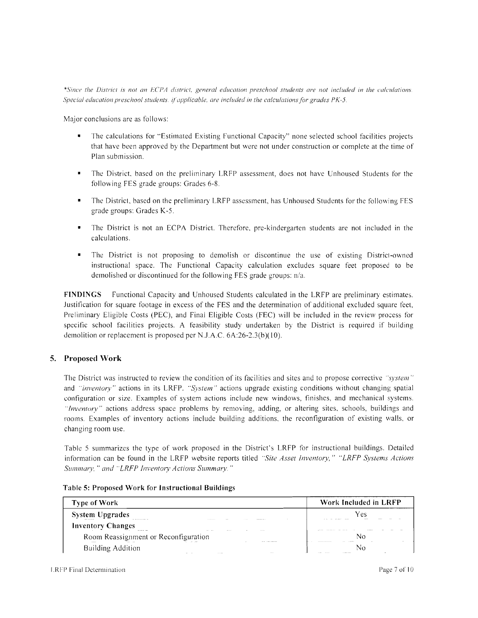\*Since the District is not an *ECPA* district, general education preschool students are not included in the calculations. *Special education preschool students, if applicable, are included in the calculations for grades PK-5.* 

Major conclusions are as follows:

- The calculations for "Estimated Existing Functional Capacity" none selected school facilities projects that have been approved by the Department but were not under construction or complete at the time of Plan submission.
- The District. based on the preliminary LRFP assessment, does not have Unhoused Students for the following FES grade groups: Grades 6-8.
- The District, based on the preliminary LRFP assessment, has Unhoused Students for the following FES grade groups: Grades K-5.
- The District is not an ECPA District. Therefore, pre-kindergarten students are not included in the calculations.
- The District is not proposing to demolish or discontinue the use of existing District-owned instructional space, The Functional Capacity calculation excludes square feet proposed to be demolished or discontinued for the following FES grade groups: n/a.

**FINDINGS** Functional Capacity and Unhoused Students calculated in the LRFP are preliminary estimates. Justification for square footage in excess of the FES and the determination of additional excluded square feet, Preliminary Eligible Costs (PEC), and Final Eligible Costs (FEC) will be included in the review process for specific school facilities projects. A feasibility study undertaken by the District is required if building demolition or replacement is proposed per N.J .A.C. 6A :26-2.3(b)( 10).

# **5. Proposed Work**

The District was instructed to review the condition of its facilities and sites and to propose corrective "system" and *"inventory"* actions in its LRFP. *"System"* actions upgrade existing conditions without changing spatial configuration or size. Examples of system actions include new windows, finishes, and mechanical systems. "Inventory" actions address space problems by removing, adding, or altering sites, schools, buildings and rooms. Examples of inventory actions include building additions, the reconfiguration of existing walls, or changing room use.

Table 5 summarizes the type of work proposed in the District's LRFP for instructional buildings. Detailed information can be found in the LRFP website reports titled *"Site Asset Inventory," "LRFP Systems Actions Summary," and "LRFP Inventory Actions Summary."* 

|  |  |  | Table 5: Proposed Work for Instructional Buildings |  |
|--|--|--|----------------------------------------------------|--|
|--|--|--|----------------------------------------------------|--|

| Type of Work                                                                               | Work Included in LRFP |
|--------------------------------------------------------------------------------------------|-----------------------|
| <b>System Upgrades</b><br><b><i>BARRASSARES</i></b><br><b>Contract</b><br>.<br>            | Y es<br><br><br>.     |
| <b>Inventory Changes</b><br><b>Bookers 198</b><br>$\cdots$<br><b>ALC 2006</b><br>1.1.1.1.1 |                       |
| Room Reassignment or Reconfiguration<br>Sirk Crashmassrate                                 |                       |
| Building Addition<br>111111<br>and the<br>                                                 | NC<br>1112211-012     |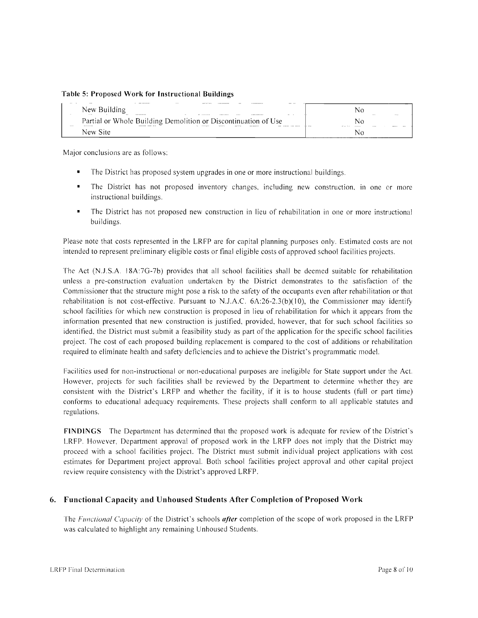#### Table 5: Proposed Work for Instructional Buildings

| Table 5: Proposed Work for Instructional Buildings             |             |
|----------------------------------------------------------------|-------------|
| .<br>New Building<br>$\sim$ $\sim$                             | NΩ<br>11116 |
| Partial or Whole Building Demolition or Discontinuation of Use | Ν٥          |
| New Site                                                       | N۵          |

Major conclusions are as follows:

- The District has proposed system upgrades in one or more instructional buildings.
- The District has not proposed inventory changes, including new construction, in one or more instructional buildings.
- • The District has not proposed new construction in lieu of rehabilitation in one or more instructional buildings.

Please note that costs represented in the LRFP are for capital planning purposes only. Estimated costs are not intended to represent preliminary eligible costs or final eligible costs of approved school facilities projects.

The Act (N.J.S.A. ]8A:7G-7b) provides that all school facilities shall be deemed suitable for rehabilitation unless a pre-construction evaluation undertaken by the District demonstrates to the satisfaction of the Commissioner that the structure might pose a risk to the safety of the occupants even after rehabilitation or that rehabilitation is not cost-effective. Pursuant to N.J.A.C. 6A:26-2.3(b)(10), the Commissioner may identify school facilities for which new construction is proposed in lieu of rehabilitation for which it appears from the information presented that new construction is justified, provided, however, that for such school facilities so identified, the District must submit a feasibility study as part of the application for the specific school facilities project. The cost of each proposed building replacement is compared to the cost of additions or rehabilitation required to eliminate health and safety deficiencies and to achieve the District's programmatic model.

Facilities used for non-instructional or non-educational purposes are ineligible for State support under the Act. However, projects for such facilities shall be reviewed by the Department to determine whether they are consistent with the District's LRFP and whether the facility, if it is to house students (full or part time) conforms to educational adequacy requirements. These projects shall conform to all applicable statutes and regulations.

FINDINGS The Department has determined that the proposed work is adequate for review of the District's LRFP. However, Department approval of proposed work in the LRFP does not imply that the District may proceed with a school facilities project. The District must submit individual project applications with cost estimates for Department project approval. Both school facilities project approval and other capital project review require consistency with the District's approved LRFP.

### 6. Functional Capacity and Unhoused Students After Completion of Proposed Work

The *Functional Capacity* of the District's schools *after* completion of the scope of work proposed in the LRFP was calculated to highlight any remaining Unhoused Students.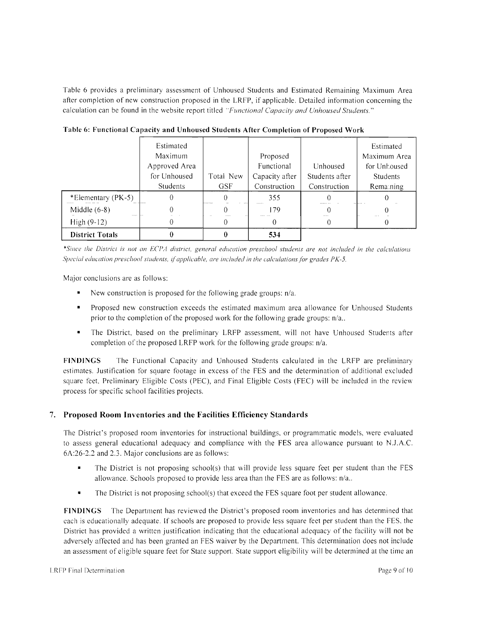Table 6 provides a preliminary assessment of Unhoused Students and Estimated Remaining Maximum Area after completion of new construction proposed in the LRFP, if applicable. Detailed information concerning the calculation can be found in the website report titled *"Functional Capacity and Unhoused Students."* 

|                        | Estimated       |             |                |                | Estimated       |
|------------------------|-----------------|-------------|----------------|----------------|-----------------|
|                        | Maximum         |             | Proposed       |                | Maximum Area    |
|                        | Approved Area   |             | Functional     | Unhoused       | for Unhoused    |
|                        | for Unhoused    | Total New   | Capacity after | Students after | <b>Students</b> |
|                        | <b>Students</b> | <b>GSF</b>  | Construction   | Construction   | Remaining       |
| *Elementary (PK-5)     |                 | ,,,,,,,,,,, | 355            |                |                 |
| Middle $(6-8)$         |                 |             | 179            |                |                 |
| High $(9-12)$          |                 |             |                |                |                 |
| <b>District Totals</b> |                 |             | 534            |                |                 |

**Table 6: Functional Capacity and Unhoused Students After Completion of Proposed Work** 

*\*Since the District is not an £CI'A district, general educution preschool students are not included in the calculations 5/Jecial education preschool students, i/applicable, are included in the calculations /or grades PK-5.* 

Major conclusions are as follows:

- New construction is proposed for the following grade groups:  $n/a$ .
- Proposed new construction exceeds the estimated maximum area allowance for Unhoused Students prior to the completion of the proposed work for the following grade groups: n/a..
- The District, based on the preliminary LRFP assessment, will not have Unhoused Students after completion of the proposed LRFP work for the following grade groups:  $n/a$ .

**FINDINGS** The Functional Capacity and Unhoused Students calculated in the LRFP are preliminary estimates. Justification for square footage in excess of the FES and the determination of additional excluded square feet, Preliminary Eligible Costs (PEC), and Final Eligible Costs (FEC) will be included in the review process for specific school facilities projects.

# **7. Proposed Room Inventories and the Facilities Efficiency Standards**

The District's proposed room inventories for instructional buildings, or programmatic models, were evaluated to assess general educational adequacy and compliance with the FES area allowance pursuant to N.J.A.C. 6A:26-2.2 and 2.3. Major conclusions are as follows:

- The District is not proposing school(s) that will provide less square feet per student than the FES allowance. Schools proposed to provide less area than the FES are as follows: n/a ..
- The District is not proposing school(s) that exceed the FES square foot per student allowance.

**FINDINGS** The Department has reviewed the District's proposed room inventories and has determined that each is educationally adequate. If schools are proposed to provide less square feet per student than the FES. the District has provided a written justification indicating that the educational adequacy of the facility will not be adversely affected and has been granted an FES waiver by the Department. This determination does not include an assessment of eligible square feet for State support. State support eligibility will be determined at the time an